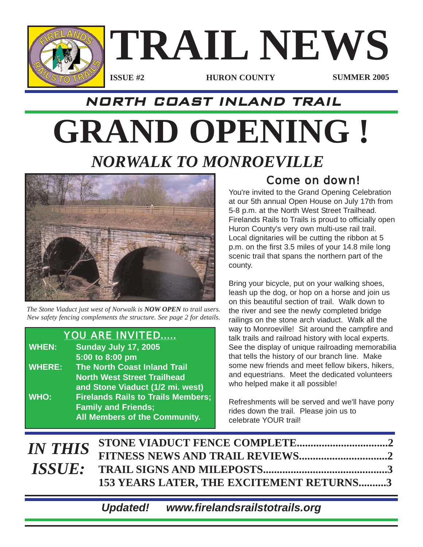

# NORTH COAST INLAND TRAIL

# **GRAND OPENING !** *NORWALK TO MONROEVILLE*



*The Stone Viaduct just west of Norwalk is NOW OPEN to trail users. New safety fencing complements the structure. See page 2 for details.*

### *YOU ARE INVITED.....*

| <b>WHEN:</b>  | <b>Sunday July 17, 2005</b>               |
|---------------|-------------------------------------------|
|               | 5:00 to 8:00 pm                           |
| <b>WHERE:</b> | <b>The North Coast Inland Trail</b>       |
|               | <b>North West Street Trailhead</b>        |
|               | and Stone Viaduct (1/2 mi. west)          |
| <b>WHO:</b>   | <b>Firelands Rails to Trails Members;</b> |
|               | <b>Family and Friends;</b>                |
|               | All Members of the Community.             |

# *Come on down!*

You're invited to the Grand Opening Celebration at our 5th annual Open House on July 17th from 5-8 p.m. at the North West Street Trailhead. Firelands Rails to Trails is proud to officially open Huron County's very own multi-use rail trail. Local dignitaries will be cutting the ribbon at 5 p.m. on the first 3.5 miles of your 14.8 mile long scenic trail that spans the northern part of the county.

Bring your bicycle, put on your walking shoes, leash up the dog, or hop on a horse and join us on this beautiful section of trail. Walk down to the river and see the newly completed bridge railings on the stone arch viaduct. Walk all the way to Monroeville! Sit around the campfire and talk trails and railroad history with local experts. See the display of unique railroading memorabilia that tells the history of our branch line. Make some new friends and meet fellow bikers, hikers, and equestrians. Meet the dedicated volunteers who helped make it all possible!

Refreshments will be served and we'll have pony rides down the trail. Please join us to celebrate YOUR trail!

| 153 YEARS LATER, THE EXCITEMENT RETURNS3 |
|------------------------------------------|
|                                          |

*Updated! www.firelandsrailstotrails.org*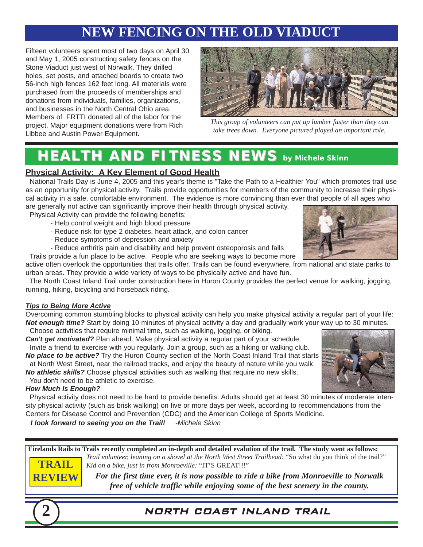# **NEW FENCING ON THE OLD VIADUCT**

Fifteen volunteers spent most of two days on April 30 and May 1, 2005 constructing safety fences on the Stone Viaduct just west of Norwalk. They drilled holes, set posts, and attached boards to create two 56-inch high fences 162 feet long. All materials were purchased from the proceeds of memberships and donations from individuals, families, organizations, and businesses in the North Central Ohio area. Members of FRTTI donated all of the labor for the project. Major equipment donations were from Rich Libbee and Austin Power Equipment.



*This group of volunteers can put up lumber faster than they can take trees down. Everyone pictured played an important role.* 

# **HEALTH AND FITNESS NEWS** by Michele Skinn

#### **Physical Activity: A Key Element of Good Health**

National Trails Day is June 4, 2005 and this year's theme is "Take the Path to a Healthier You" which promotes trail use as an opportunity for physical activity. Trails provide opportunities for members of the community to increase their physical activity in a safe, comfortable environment. The evidence is more convincing than ever that people of all ages who

are generally not active can significantly improve their health through physical activity. Physical Activity can provide the following benefits:

- Help control weight and high blood pressure
- Reduce risk for type 2 diabetes, heart attack, and colon cancer
- Reduce symptoms of depression and anxiety
- Reduce arthritis pain and disability and help prevent osteoporosis and falls

Trails provide a fun place to be active. People who are seeking ways to become more active often overlook the opportunities that trails offer. Trails can be found everywhere, from national and state parks to urban areas. They provide a wide variety of ways to be physically active and have fun.

The North Coast Inland Trail under construction here in Huron County provides the perfect venue for walking, jogging, running, hiking, bicycling and horseback riding.

#### *Tips to Being More Active*

Overcoming common stumbling blocks to physical activity can help you make physical activity a regular part of your life: *Not enough time?* Start by doing 10 minutes of physical activity a day and gradually work your way up to 30 minutes.

Choose activities that require minimal time, such as walking, jogging, or biking.

*Can't get motivated?* Plan ahead. Make physical activity a regular part of your schedule. Invite a friend to exercise with you regularly. Join a group, such as a hiking or walking club.

*No place to be active?* Try the Huron County section of the North Coast Inland Trail that starts at North West Street, near the railroad tracks, and enjoy the beauty of nature while you walk. *No athletic skills?* Choose physical activities such as walking that require no new skills.

You don't need to be athletic to exercise.

#### *How Much Is Enough?*

Physical activity does not need to be hard to provide benefits. Adults should get at least 30 minutes of moderate intensity physical activity (such as brisk walking) on five or more days per week, according to recommendations from the Centers for Disease Control and Prevention (CDC) and the American College of Sports Medicine.

*I look forward to seeing you on the Trail! -Michele Skinn*

**Firelands Rails to Trails recently completed an in-depth and detailed evalution of the trail. The study went as follows:** *Trail volunteer, leaning on a shovel at the North West Street Trailhead:* "So what do you think of the trail?" *Kid on a bike, just in from Monroeville:* "IT'S GREAT!!!" **TRAIL**

> *For the first time ever, it is now possible to ride a bike from Monroeville to Norwalk free of vehicle traffic while enjoying some of the best scenery in the county.*



**REVIEW**

### **2** NORTH COAST INLAND TRAIL



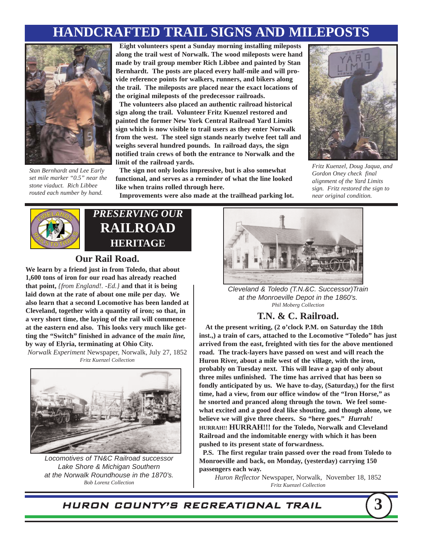# **HANDCRAFTED TRAIL SIGNS AND MILEPOSTS**



*Stan Bernhardt and Lee Early set mile marker "0.5" near the stone viaduct. Rich Libbee routed each number by hand.*

**Eight volunteers spent a Sunday morning installing mileposts along the trail west of Norwalk. The wood mileposts were hand made by trail group member Rich Libbee and painted by Stan Bernhardt. The posts are placed every half-mile and will provide reference points for walkers, runners, and bikers along the trail. The mileposts are placed near the exact locations of the original mileposts of the predecessor railroads.**

**The volunteers also placed an authentic railroad historical sign along the trail. Volunteer Fritz Kuenzel restored and painted the former New York Central Railroad Yard Limits sign which is now visible to trail users as they enter Norwalk from the west. The steel sign stands nearly twelve feet tall and weighs several hundred pounds. In railroad days, the sign notified train crews of both the entrance to Norwalk and the limit of the railroad yards.**

**The sign not only looks impressive, but is also somewhat functional, and serves as a reminder of what the line looked like when trains rolled through here.**



*Fritz Kuenzel, Doug Jaqua, and Gordon Oney check final alignment of the Yard Limits sign. Fritz restored the sign to near original condition.*

**Improvements were also made at the trailhead parking lot.**



# *PRESERVING OUR* **RAILROAD HERITAGE**

#### **Our Rail Road.**

**We learn by a friend just in from Toledo, that about 1,600 tons of iron for our road has already reached that point,** *{from England!. -Ed.}* **and that it is being laid down at the rate of about one mile per day. We also learn that a second Locomotive has been landed at Cleveland, together with a quantity of iron; so that, in a very short time, the laying of the rail will commence at the eastern end also. This looks very much like getting the "Switch" finished in advance of the** *main line,* **by way of Elyria, terminating at Ohio City.**

*Norwalk Experiment* Newspaper, Norwalk, July 27, 1852 *Fritz Kuenzel Collection*



*Locomotives of TN&C Railroad successor Lake Shore & Michigan Southern at the Norwalk Roundhouse in the 1870's. Bob Lorenz Collection*



*Cleveland & Toledo (T.N.&C. Successor)Train at the Monroeville Depot in the 1860's. Phil Moberg Collection*

#### **T.N. & C. Railroad.**

**At the present writing, (2 o'clock P.M. on Saturday the 18th inst.,) a train of cars, attached to the Locomotive "Toledo" has just arrived from the east, freighted with ties for the above mentioned road. The track-layers have passed on west and will reach the Huron River, about a mile west of the village, with the iron, probably on Tuesday next. This will leave a gap of only about three miles unfinished. The time has arrived that has been so fondly anticipated by us. We have to-day, (Saturday,) for the first time, had a view, from our office window of the "Iron Horse," as he snorted and pranced along through the town. We feel somewhat excited and a good deal like shouting, and though alone, we believe we will give three cheers. So "here goes."** *Hurrah!*  **HURRAH!! HURRAH!!! for the Toledo, Norwalk and Cleveland Railroad and the indomitable energy with which it has been pushed to its present state of forwardness.**

**P.S. The first regular train passed over the road from Toledo to Monroeville and back, on Monday, (yesterday) carrying 150 passengers each way.**

*Huron Reflector* Newspaper, Norwalk, November 18, 1852 *Fritz Kuenzel Collection*